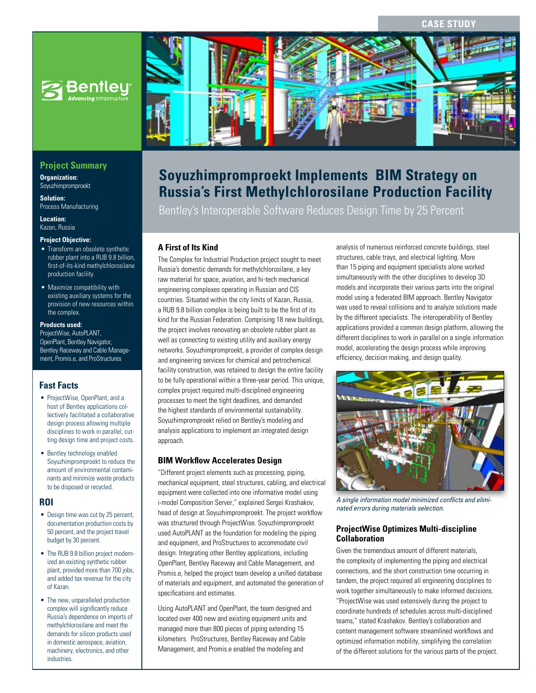**CASE STUD** 



# **Project Summary**

**Organization:**  Soyuzhimpromproekt

**Solution:**  Process Manufacturing

**Location:**  Kazan, Russia

#### **Project Objective:**

- Transform an obsolete synthetic rubber plant into a RUB 9.8 billion, first-of-its-kind methylchlorosilane production facility.
- Maximize compatibility with existing auxiliary systems for the provision of new resources within the complex.

#### **Products used:**

ProjectWise, AutoPLANT, OpenPlant, Bentley Navigator, Bentley Raceway and Cable Management, Promis.e, and ProStructures

## **Fast Facts**

- ProjectWise, OpenPlant, and a host of Bentley applications collectively facilitated a collaborative design process allowing multiple disciplines to work in parallel, cutting design time and project costs.
- Bentley technology enabled Soyuzhimpromproekt to reduce the amount of environmental contaminants and minimize waste products to be disposed or recycled.

#### **ROI**

- Design time was cut by 25 percent, documentation production costs by 50 percent, and the project travel budget by 30 percent.
- The RUB 9.8 billion project modernized an existing synthetic rubber plant, provided more than 700 jobs, and added tax revenue for the city of Kazan.
- The new, unparalleled production complex will significantly reduce Russia's dependence on imports of methylchlorosilane and meet the demands for silicon products used in domestic aerospace, aviation, machinery, electronics, and other industries.



# **Soyuzhimpromproekt Implements BIM Strategy on Russia's First Methylchlorosilane Production Facility**

Bentley's Interoperable Software Reduces Design Time by 25 Percent

### **A First of Its Kind**

The Complex for Industrial Production project sought to meet Russia's domestic demands for methylchlorosilane, a key raw material for space, aviation, and hi-tech mechanical engineering complexes operating in Russian and CIS countries. Situated within the city limits of Kazan, Russia, a RUB 9.8 billion complex is being built to be the first of its kind for the Russian Federation. Comprising 18 new buildings, the project involves renovating an obsolete rubber plant as well as connecting to existing utility and auxiliary energy networks. Soyuzhimpromproekt, a provider of complex design and engineering services for chemical and petrochemical facility construction, was retained to design the entire facility to be fully operational within a three-year period. This unique, complex project required multi-disciplined engineering processes to meet the tight deadlines, and demanded the highest standards of environmental sustainability. Soyuzhimpromproekt relied on Bentley's modeling and analysis applications to implement an integrated design approach.

#### **BIM Workflow Accelerates Design**

"Different project elements such as processing, piping, mechanical equipment, steel structures, cabling, and electrical equipment were collected into one informative model using i-model Composition Server," explained Sergei Krashakov, head of design at Soyuzhimpromproekt. The project workflow was structured through ProjectWise. Soyuzhimpromproekt used AutoPLANT as the foundation for modeling the piping and equipment, and ProStructures to accommodate civil design. Integrating other Bentley applications, including OpenPlant, Bentley Raceway and Cable Management, and Promis.e, helped the project team develop a unified database of materials and equipment, and automated the generation of specifications and estimates.

Using AutoPLANT and OpenPlant, the team designed and located over 400 new and existing equipment units and managed more than 800 pieces of piping extending 15 kilometers. ProStructures, Bentley Raceway and Cable Management, and Promis.e enabled the modeling and

analysis of numerous reinforced concrete buildings, steel structures, cable trays, and electrical lighting. More than 15 piping and equipment specialists alone worked simultaneously with the other disciplines to develop 3D models and incorporate their various parts into the original model using a federated BIM approach. Bentley Navigator was used to reveal collisions and to analyze solutions made by the different specialists. The interoperability of Bentley applications provided a common design platform, allowing the different disciplines to work in parallel on a single information model, accelerating the design process while improving efficiency, decision making, and design quality.



*A single information model minimized conflicts and eliminated errors during materials selection.*

## **ProjectWise Optimizes Multi-discipline Collaboration**

Given the tremendous amount of different materials, the complexity of implementing the piping and electrical connections, and the short construction time occurring in tandem, the project required all engineering disciplines to work together simultaneously to make informed decisions. "ProjectWise was used extensively during the project to coordinate hundreds of schedules across multi-disciplined teams," stated Krashakov. Bentley's collaboration and content management software streamlined workflows and optimized information mobility, simplifying the correlation of the different solutions for the various parts of the project.